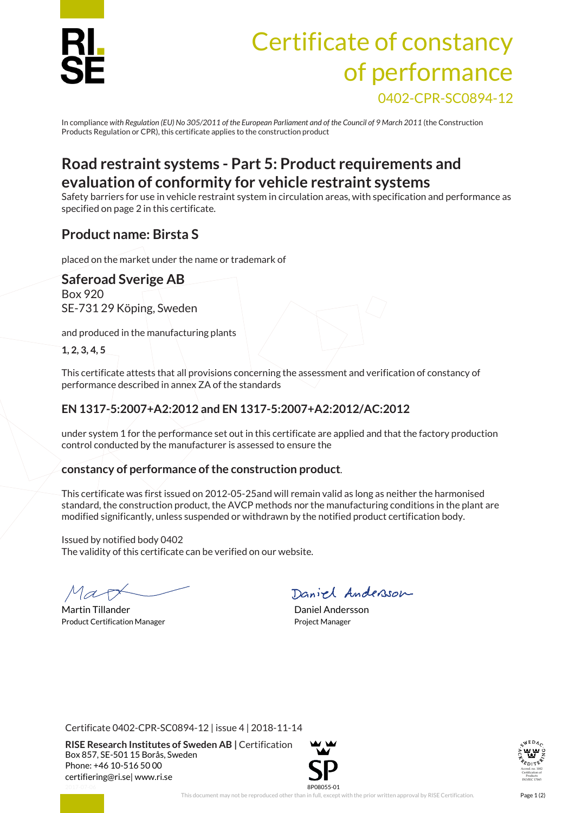

# Certificate of constancy of performance 0402-CPR-SC0894-12

In compliance *with Regulation (EU) No 305/2011 of the European Parliament and of the Council of 9 March 2011* (the Construction Products Regulation or CPR), this certificate applies to the construction product

### **Road restraint systems - Part 5: Product requirements and evaluation of conformity for vehicle restraint systems**

Safety barriers for use in vehicle restraint system in circulation areas, with specification and performance as specified on page 2 in this certificate.

#### **Product name: Birsta S**

placed on the market under the name or trademark of

#### **Saferoad Sverige AB** Box 920 SE-731 29 Köping, Sweden

and produced in the manufacturing plants

**1, 2, 3, 4, 5**

This certificate attests that all provisions concerning the assessment and verification of constancy of performance described in annex ZA of the standards

#### **EN 1317-5:2007+A2:2012 and EN 1317-5:2007+A2:2012/AC:2012**

under system 1 for the performance set out in this certificate are applied and that the factory production control conducted by the manufacturer is assessed to ensure the

#### **constancy of performance of the construction product**.

This certificate was first issued on 2012-05-25and will remain valid as long as neither the harmonised standard, the construction product, the AVCP methods nor the manufacturing conditions in the plant are modified significantly, unless suspended or withdrawn by the notified product certification body.

Issued by notified body 0402 The validity of this certificate can be verified on our website.

Martin Tillander **Daniel Andersson** Product Certification Manager **Product Certification Manager** Project Manager

Daniel Andersson

Certificate 0402-CPR-SC0894-12 | issue 4 | 2018-11-14

**RISE Research Institutes of Sweden AB |** Certification Box 857, SE-501 15 Borås, Sweden Phone: +46 10-516 50 00 [certifiering@ri.se|](mailto:certifiering@ri.se) www.ri.se